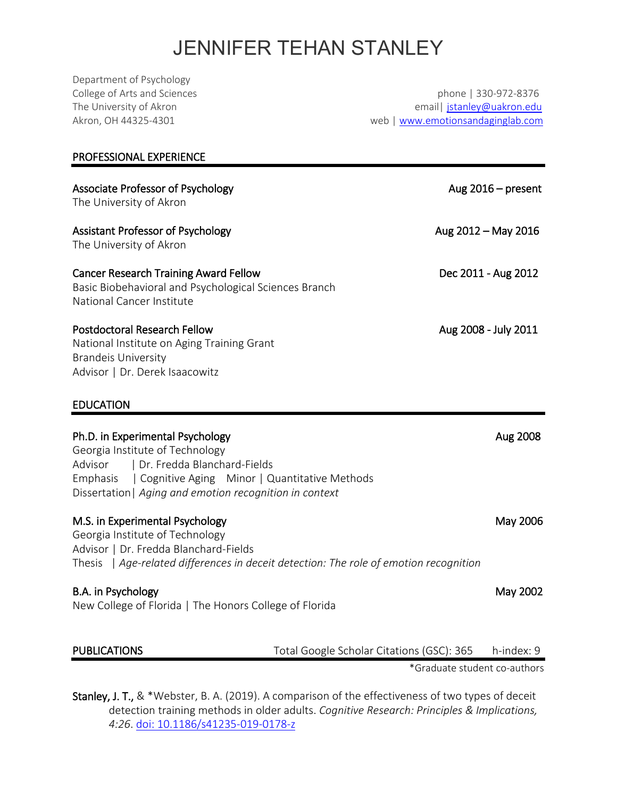# JENNIFER TEHAN STANLEY

Department of Psychology College of Arts and Sciences phone | 330-972-8376 The University of Akron **Example 2018** 2019 12:30 The University of Akron education of the University of Akron edu Akron, OH 44325-4301 web | [www.emotionsandaginglab.com](http://www.emotionsandaginglab.com/) PROFESSIONAL EXPERIENCE Associate Professor of Psychology **Aug 2016** – present The University of Akron Assistant Professor of Psychology **Aug 2012 – May 2016** The University of Akron Cancer Research Training Award Fellow Dec 2011 - Aug 2012 Basic Biobehavioral and Psychological Sciences Branch National Cancer Institute Postdoctoral Research Fellow and the search of the search of the search of the search of the search of the search of the search of the search of the search of the search of the search of the search of the search of the sea National Institute on Aging Training Grant Brandeis University Advisor | Dr. Derek Isaacowitz EDUCATION Ph.D. in Experimental Psychology **Aug 2008** Aug 2008 Georgia Institute of Technology Advisor | Dr. Fredda Blanchard-Fields Emphasis | Cognitive Aging Minor | Quantitative Methods Dissertation| *Aging and emotion recognition in context* M.S. in Experimental Psychology May 2006 Georgia Institute of Technology Advisor | Dr. Fredda Blanchard-Fields Thesis | *Age-related differences in deceit detection: The role of emotion recognition* B.A. in Psychology **May 2002** New College of Florida | The Honors College of Florida PUBLICATIONS Total Google Scholar Citations (GSC): 365 h-index: 9 \*Graduate student co-authors

Stanley, J. T., & \*Webster, B. A. (2019). A comparison of the effectiveness of two types of deceit detection training methods in older adults. *Cognitive Research: Principles & Implications, 4:26*. [doi: 10.1186/s41235-019-0178-z](https://nam03.safelinks.protection.outlook.com/?url=http%3A%2F%2Fem.rdcu.be%2Fwf%2Fclick%3Fupn%3DlMZy1lernSJ7apc5DgYM8TPD2RJ9pNPKaGqe7PkoPn8-3D_46cwWU1Afbitp-2Bv0CwrTXirif4n5bGY-2FBaJmU0eT-2BYFuT40ocbQIi8p41zJ83NzRzr0SLy2hxdbgpX58XeJUMgF0dmwPlxBzva3hOW4kCHp6EJGAicWS8XL33JS3k8BQY1uOQNPuzTc7qT1jvdh-2FPePWW9U2ymJKby8MYpKiYJV9ixDKxGMsmwiPFSCdOT0KOOjT-2BmPIVpLs4mKSaQa7npkmao94lgDkKYzmyGFIIjmxNYg2Hnq-2BWOMNPJbJP1K76d74Im5r149tzs8KJ3aDpn3WPLARZ6KbDqMPlGukn78-3D&data=02%7C01%7Cjstanley%40uakron.edu%7C7948e1e70bc24202325d08d70f262236%7Ce8575dedd7f94ecea4aa0b32991aeedd%7C0%7C0%7C636994528778499009&sdata=lM3sitAOQsXDrU7FZSkqJDzQR%2BMYB2hTINowi0EPuFQ%3D&reserved=0)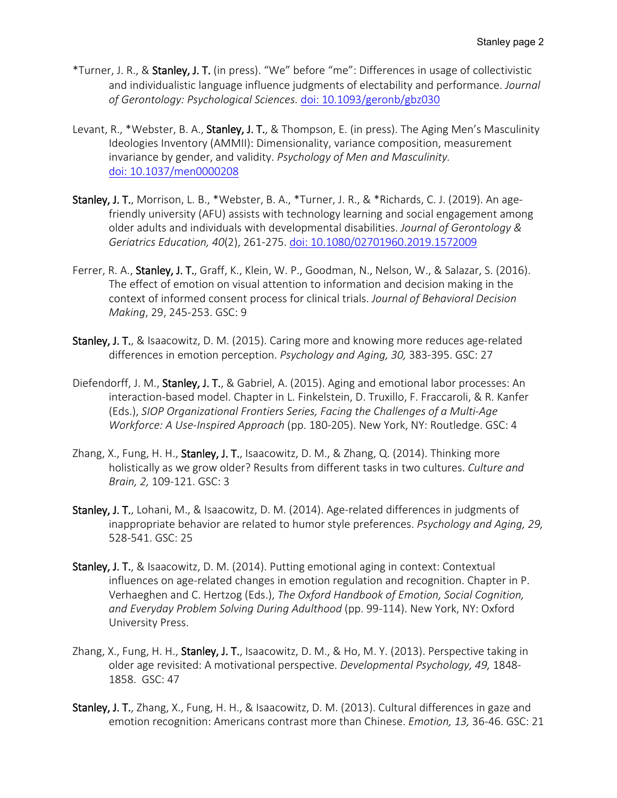- \*Turner, J. R., & Stanley, J. T. (in press). "We" before "me": Differences in usage of collectivistic and individualistic language influence judgments of electability and performance. *Journal of Gerontology: Psychological Sciences.* [doi: 10.1093/geronb/gbz030](https://doi.org/10.1093/geronb/gbz030)
- Levant, R., \*Webster, B. A., Stanley, J. T., & Thompson, E. (in press). The Aging Men's Masculinity Ideologies Inventory (AMMII): Dimensionality, variance composition, measurement invariance by gender, and validity. *Psychology of Men and Masculinity.*  [doi: 10.1037/men0000208](https://psycnet.apa.org/doi/10.1037/men0000208)
- Stanley, J. T., Morrison, L. B., \*Webster, B. A., \*Turner, J. R., & \*Richards, C. J. (2019). An agefriendly university (AFU) assists with technology learning and social engagement among older adults and individuals with developmental disabilities. *Journal of Gerontology & Geriatrics Education, 40*(2), 261-275. [doi: 10.1080/02701960.2019.1572009](https://doi.org/10.1080/02701960.2019.1572009)
- Ferrer, R. A., Stanley, J. T., Graff, K., Klein, W. P., Goodman, N., Nelson, W., & Salazar, S. (2016). The effect of emotion on visual attention to information and decision making in the context of informed consent process for clinical trials. *Journal of Behavioral Decision Making*, 29, 245-253. GSC: 9
- Stanley, J. T., & Isaacowitz, D. M. (2015). Caring more and knowing more reduces age-related differences in emotion perception. *Psychology and Aging, 30,* 383-395. GSC: 27
- Diefendorff, J. M., Stanley, J. T., & Gabriel, A. (2015). Aging and emotional labor processes: An interaction-based model. Chapter in L. Finkelstein, D. Truxillo, F. Fraccaroli, & R. Kanfer (Eds.), *SIOP Organizational Frontiers Series, Facing the Challenges of a Multi-Age Workforce: A Use-Inspired Approach* (pp. 180-205). New York, NY: Routledge. GSC: 4
- Zhang, X., Fung, H. H., Stanley, J. T., Isaacowitz, D. M., & Zhang, Q. (2014). Thinking more holistically as we grow older? Results from different tasks in two cultures. *Culture and Brain, 2,* 109-121. GSC: 3
- Stanley, J. T., Lohani, M., & Isaacowitz, D. M. (2014). Age-related differences in judgments of inappropriate behavior are related to humor style preferences. *Psychology and Aging, 29,*  528-541. GSC: 25
- Stanley, J. T., & Isaacowitz, D. M. (2014). Putting emotional aging in context: Contextual influences on age-related changes in emotion regulation and recognition. Chapter in P. Verhaeghen and C. Hertzog (Eds.), *The Oxford Handbook of Emotion, Social Cognition, and Everyday Problem Solving During Adulthood* (pp. 99-114). New York, NY: Oxford University Press.
- Zhang, X., Fung, H. H., Stanley, J. T., Isaacowitz, D. M., & Ho, M. Y. (2013). Perspective taking in older age revisited: A motivational perspective. *Developmental Psychology, 49,* 1848- 1858. GSC: 47
- Stanley, J. T., Zhang, X., Fung, H. H., & Isaacowitz, D. M. (2013). Cultural differences in gaze and emotion recognition: Americans contrast more than Chinese. *Emotion, 13,* 36-46. GSC: 21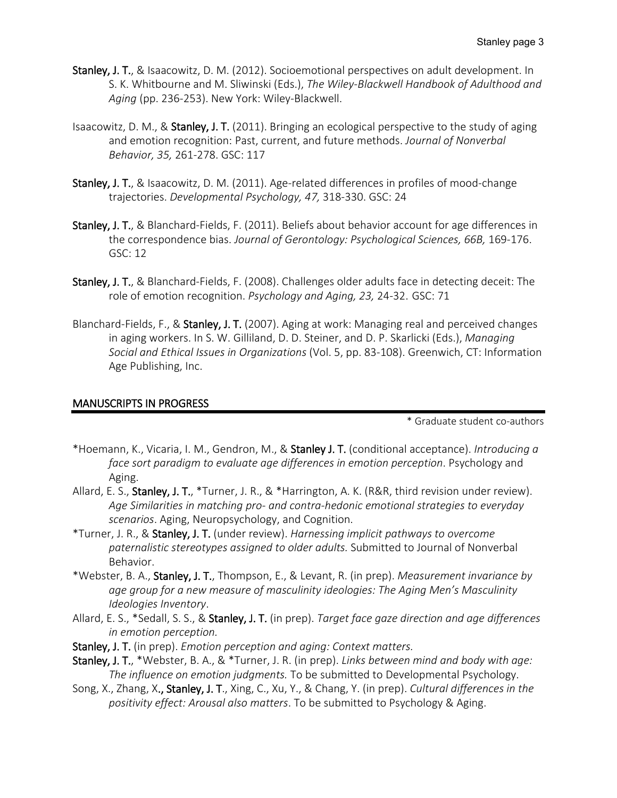- Stanley, J. T., & Isaacowitz, D. M. (2012). Socioemotional perspectives on adult development. In S. K. Whitbourne and M. Sliwinski (Eds.), *The Wiley-Blackwell Handbook of Adulthood and Aging* (pp. 236-253). New York: Wiley-Blackwell.
- Isaacowitz, D. M., & Stanley, J. T. (2011). Bringing an ecological perspective to the study of aging and emotion recognition: Past, current, and future methods. *Journal of Nonverbal Behavior, 35,* 261-278. GSC: 117
- Stanley, J. T., & Isaacowitz, D. M. (2011). Age-related differences in profiles of mood-change trajectories. *Developmental Psychology, 47,* 318-330. GSC: 24
- Stanley, J. T., & Blanchard-Fields, F. (2011). Beliefs about behavior account for age differences in the correspondence bias. *Journal of Gerontology: Psychological Sciences, 66B,* 169-176. GSC: 12
- Stanley, J. T., & Blanchard-Fields, F. (2008). Challenges older adults face in detecting deceit: The role of emotion recognition. *Psychology and Aging, 23,* 24-32. GSC: 71
- Blanchard-Fields, F., & Stanley, J. T. (2007). Aging at work: Managing real and perceived changes in aging workers. In S. W. Gilliland, D. D. Steiner, and D. P. Skarlicki (Eds.), *Managing Social and Ethical Issues in Organizations* (Vol. 5, pp. 83-108). Greenwich, CT: Information Age Publishing, Inc.

#### MANUSCRIPTS IN PROGRESS

\* Graduate student co-authors

- \*Hoemann, K., Vicaria, I. M., Gendron, M., & Stanley J. T. (conditional acceptance). *Introducing a face sort paradigm to evaluate age differences in emotion perception*. Psychology and Aging.
- Allard, E. S., Stanley, J. T., \*Turner, J. R., & \*Harrington, A. K. (R&R, third revision under review). *Age Similarities in matching pro- and contra-hedonic emotional strategies to everyday scenarios*. Aging, Neuropsychology, and Cognition.
- \*Turner, J. R., & Stanley, J. T. (under review). *Harnessing implicit pathways to overcome paternalistic stereotypes assigned to older adults.* Submitted to Journal of Nonverbal Behavior.
- \*Webster, B. A., Stanley, J. T., Thompson, E., & Levant, R. (in prep). *Measurement invariance by age group for a new measure of masculinity ideologies: The Aging Men's Masculinity Ideologies Inventory*.
- Allard, E. S., \*Sedall, S. S., & Stanley, J. T. (in prep). *Target face gaze direction and age differences in emotion perception.*
- Stanley, J. T. (in prep). *Emotion perception and aging: Context matters.*
- Stanley, J. T., \*Webster, B. A., & \*Turner, J. R. (in prep). *Links between mind and body with age: The influence on emotion judgments.* To be submitted to Developmental Psychology.
- Song, X., Zhang, X., Stanley, J. T., Xing, C., Xu, Y., & Chang, Y. (in prep). *Cultural differences in the positivity effect: Arousal also matters*. To be submitted to Psychology & Aging.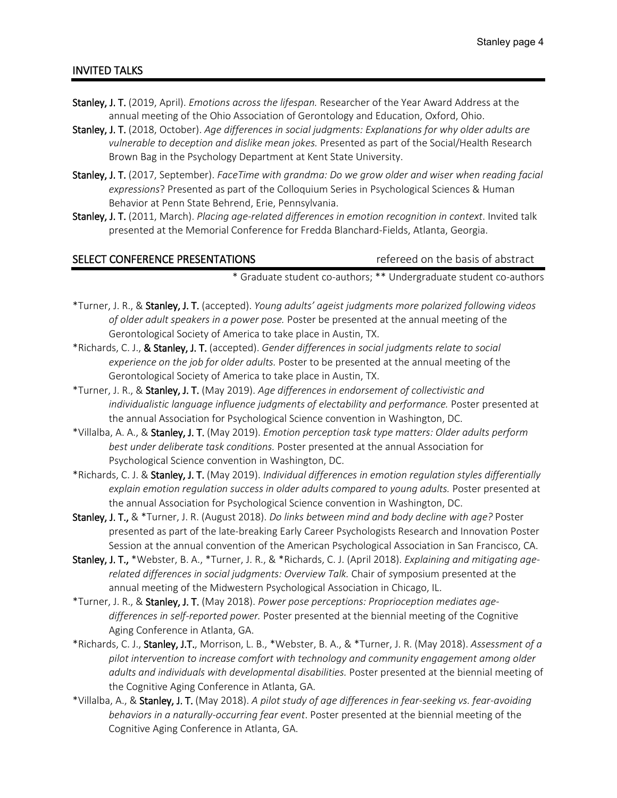#### INVITED TALKS

- Stanley, J. T. (2019, April). *Emotions across the lifespan.* Researcher of the Year Award Address at the annual meeting of the Ohio Association of Gerontology and Education, Oxford, Ohio.
- Stanley, J. T. (2018, October). *Age differences in social judgments: Explanations for why older adults are vulnerable to deception and dislike mean jokes.* Presented as part of the Social/Health Research Brown Bag in the Psychology Department at Kent State University.
- Stanley, J. T. (2017, September). *FaceTime with grandma: Do we grow older and wiser when reading facial expressions*? Presented as part of the Colloquium Series in Psychological Sciences & Human Behavior at Penn State Behrend, Erie, Pennsylvania.
- Stanley, J. T. (2011, March). *Placing age-related differences in emotion recognition in context*. Invited talk presented at the Memorial Conference for Fredda Blanchard-Fields, Atlanta, Georgia.

#### SELECT CONFERENCE PRESENTATIONS THE RESENSE REFEREED ON the basis of abstract

\* Graduate student co-authors; \*\* Undergraduate student co-authors

- \*Turner, J. R., & Stanley, J. T. (accepted). *Young adults' ageist judgments more polarized following videos of older adult speakers in a power pose.* Poster be presented at the annual meeting of the Gerontological Society of America to take place in Austin, TX.
- \*Richards, C. J., & Stanley, J. T. (accepted). *Gender differences in social judgments relate to social experience on the job for older adults.* Poster to be presented at the annual meeting of the Gerontological Society of America to take place in Austin, TX.
- \*Turner, J. R., & Stanley, J. T. (May 2019). *Age differences in endorsement of collectivistic and individualistic language influence judgments of electability and performance.* Poster presented at the annual Association for Psychological Science convention in Washington, DC.
- \*Villalba, A. A., & Stanley, J. T. (May 2019). *Emotion perception task type matters: Older adults perform best under deliberate task conditions.* Poster presented at the annual Association for Psychological Science convention in Washington, DC.
- \*Richards, C. J. & Stanley, J. T. (May 2019). *Individual differences in emotion regulation styles differentially explain emotion regulation success in older adults compared to young adults.* Poster presented at the annual Association for Psychological Science convention in Washington, DC.
- Stanley, J. T., & \*Turner, J. R. (August 2018). *Do links between mind and body decline with age?* Poster presented as part of the late-breaking Early Career Psychologists Research and Innovation Poster Session at the annual convention of the American Psychological Association in San Francisco, CA.
- Stanley, J. T., \*Webster, B. A., \*Turner, J. R., & \*Richards, C. J. (April 2018). *Explaining and mitigating agerelated differences in social judgments: Overview Talk.* Chair of *s*ymposium presented at the annual meeting of the Midwestern Psychological Association in Chicago, IL.
- \*Turner, J. R., & Stanley, J. T. (May 2018). *Power pose perceptions: Proprioception mediates agedifferences in self-reported power.* Poster presented at the biennial meeting of the Cognitive Aging Conference in Atlanta, GA.
- \*Richards, C. J., Stanley, J.T., Morrison, L. B., \*Webster, B. A., & \*Turner, J. R. (May 2018). *Assessment of a pilot intervention to increase comfort with technology and community engagement among older adults and individuals with developmental disabilities.* Poster presented at the biennial meeting of the Cognitive Aging Conference in Atlanta, GA.
- \*Villalba, A., & Stanley, J. T. (May 2018). *A pilot study of age differences in fear-seeking vs. fear-avoiding behaviors in a naturally-occurring fear event*. Poster presented at the biennial meeting of the Cognitive Aging Conference in Atlanta, GA.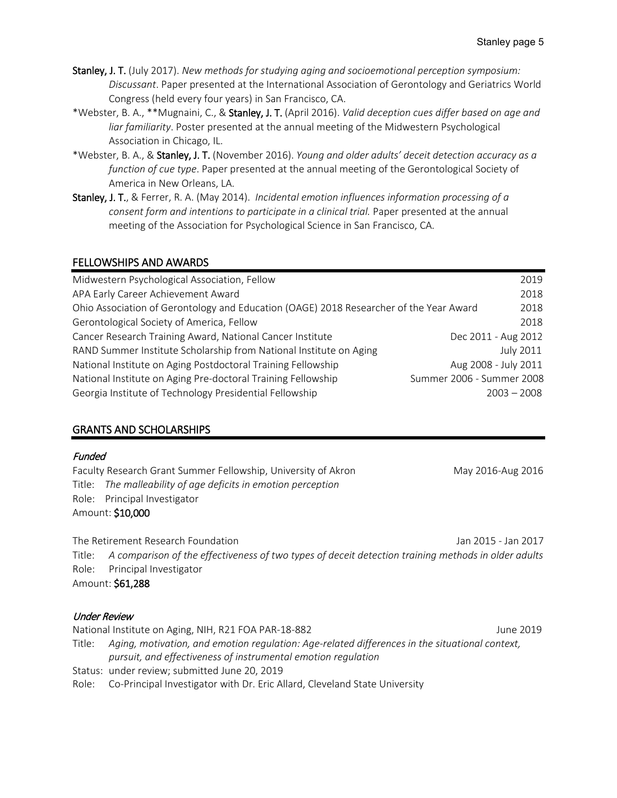- Stanley, J. T. (July 2017). *New methods for studying aging and socioemotional perception symposium: Discussant*. Paper presented at the International Association of Gerontology and Geriatrics World Congress (held every four years) in San Francisco, CA.
- \*Webster, B. A., \*\*Mugnaini, C., & Stanley, J. T. (April 2016). *Valid deception cues differ based on age and liar familiarity*. Poster presented at the annual meeting of the Midwestern Psychological Association in Chicago, IL.
- \*Webster, B. A., & Stanley, J. T. (November 2016). *Young and older adults' deceit detection accuracy as a function of cue type*. Paper presented at the annual meeting of the Gerontological Society of America in New Orleans, LA.
- Stanley, J. T., & Ferrer, R. A. (May 2014). *Incidental emotion influences information processing of a consent form and intentions to participate in a clinical trial.* Paper presented at the annual meeting of the Association for Psychological Science in San Francisco, CA.

# FELLOWSHIPS AND AWARDS

| Midwestern Psychological Association, Fellow                                           | 2019                      |
|----------------------------------------------------------------------------------------|---------------------------|
| APA Early Career Achievement Award                                                     | 2018                      |
| Ohio Association of Gerontology and Education (OAGE) 2018 Researcher of the Year Award | 2018                      |
| Gerontological Society of America, Fellow                                              | 2018                      |
| Cancer Research Training Award, National Cancer Institute                              | Dec 2011 - Aug 2012       |
| RAND Summer Institute Scholarship from National Institute on Aging                     | <b>July 2011</b>          |
| National Institute on Aging Postdoctoral Training Fellowship                           | Aug 2008 - July 2011      |
| National Institute on Aging Pre-doctoral Training Fellowship                           | Summer 2006 - Summer 2008 |
| Georgia Institute of Technology Presidential Fellowship                                | $2003 - 2008$             |

# GRANTS AND SCHOLARSHIPS

#### Funded

Faculty Research Grant Summer Fellowship, University of Akron May 2016-Aug 2016-Aug 2016 Title: *The malleability of age deficits in emotion perception* Role: Principal Investigator Amount: \$10,000

The Retirement Research Foundation Jan 2015 - Jan 2017 Title: *A comparison of the effectiveness of two types of deceit detection training methods in older adults* Role: Principal Investigator Amount: \$61,288

#### Under Review

National Institute on Aging, NIH, R21 FOA PAR-18-882 June 2019 Title: *Aging, motivation, and emotion regulation: Age-related differences in the situational context, pursuit, and effectiveness of instrumental emotion regulation* Status: under review; submitted June 20, 2019 Role: Co-Principal Investigator with Dr. Eric Allard, Cleveland State University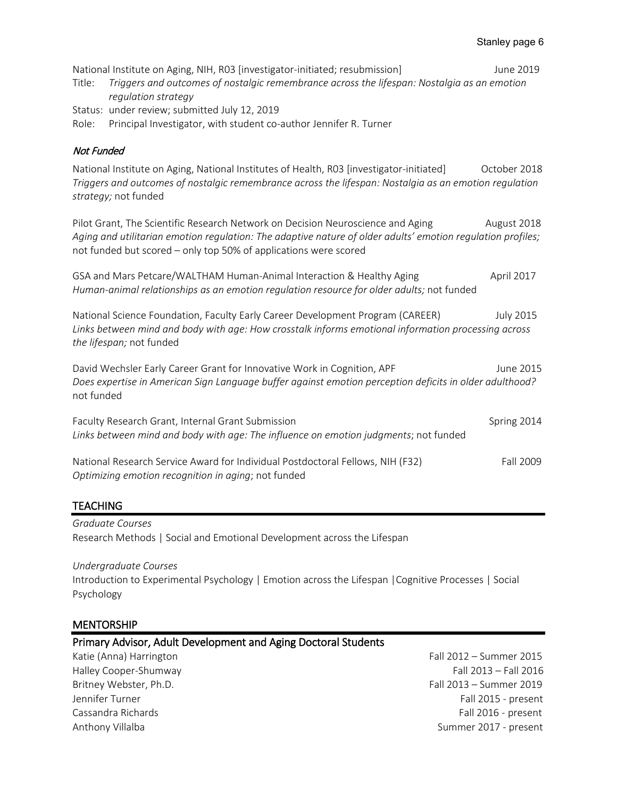National Institute on Aging, NIH, RO3 [investigator-initiated; resubmission] June 2019 Title: *Triggers and outcomes of nostalgic remembrance across the lifespan: Nostalgia as an emotion regulation strategy* Status: under review; submitted July 12, 2019 Role: Principal Investigator, with student co-author Jennifer R. Turner Not Funded National Institute on Aging, National Institutes of Health, R03 [investigator-initiated] October 2018 *Triggers and outcomes of nostalgic remembrance across the lifespan: Nostalgia as an emotion regulation strategy;* not funded Pilot Grant, The Scientific Research Network on Decision Neuroscience and Aging August 2018 *Aging and utilitarian emotion regulation: The adaptive nature of older adults' emotion regulation profiles;*  not funded but scored – only top 50% of applications were scored GSA and Mars Petcare/WALTHAM Human-Animal Interaction & Healthy Aging April 2017 *Human-animal relationships as an emotion regulation resource for older adults;* not funded National Science Foundation, Faculty Early Career Development Program (CAREER) July 2015 *Links between mind and body with age: How crosstalk informs emotional information processing across the lifespan;* not funded David Wechsler Early Career Grant for Innovative Work in Cognition, APF June 2015 *Does expertise in American Sign Language buffer against emotion perception deficits in older adulthood?* not funded Faculty Research Grant, Internal Grant Submission Spring 2014 Spring 2014

National Research Service Award for Individual Postdoctoral Fellows, NIH (F32) Fall 2009 *Optimizing emotion recognition in aging*; not funded

*Links between mind and body with age: The influence on emotion judgments*; not funded

#### TEACHING

*Graduate Courses* Research Methods | Social and Emotional Development across the Lifespan

#### *Undergraduate Courses*

Introduction to Experimental Psychology | Emotion across the Lifespan |Cognitive Processes | Social Psychology

#### **MENTORSHIP**

|  | Primary Advisor, Adult Development and Aging Doctoral Students |
|--|----------------------------------------------------------------|
|--|----------------------------------------------------------------|

Katie (Anna) Harrington Fall 2012 – Summer 2015 Halley Cooper-Shumway Fall 2013 – Fall 2016 Britney Webster, Ph.D. **Fall 2013** – Summer 2019 Jennifer Turner Fall 2015 - present Cassandra Richards Fall 2016 - present Anthony Villalba Summer 2017 - present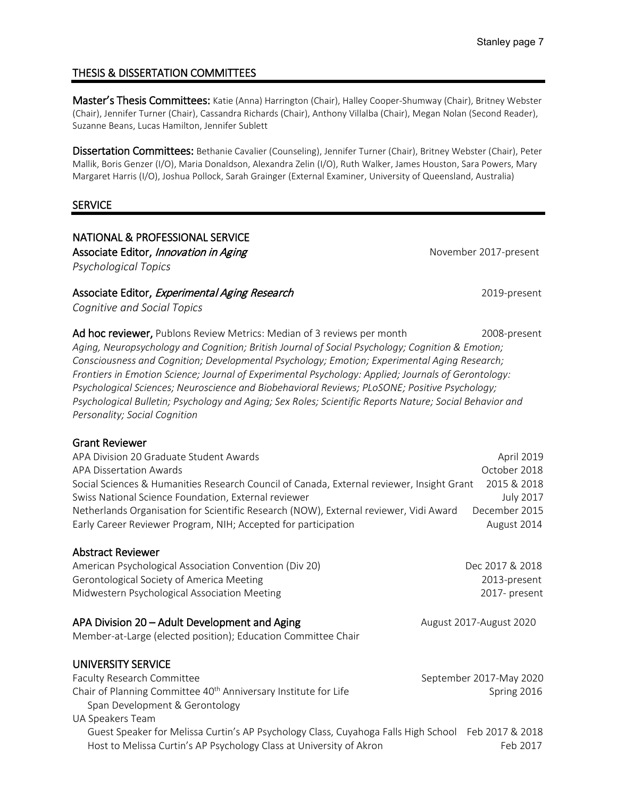# THESIS & DISSERTATION COMMITTEES

Master's Thesis Committees: Katie (Anna) Harrington (Chair), Halley Cooper-Shumway (Chair), Britney Webster (Chair), Jennifer Turner (Chair), Cassandra Richards (Chair), Anthony Villalba (Chair), Megan Nolan (Second Reader), Suzanne Beans, Lucas Hamilton, Jennifer Sublett

Dissertation Committees: Bethanie Cavalier (Counseling), Jennifer Turner (Chair), Britney Webster (Chair), Peter Mallik, Boris Genzer (I/O), Maria Donaldson, Alexandra Zelin (I/O), Ruth Walker, James Houston, Sara Powers, Mary Margaret Harris (I/O), Joshua Pollock, Sarah Grainger (External Examiner, University of Queensland, Australia)

#### **SERVICE**

NATIONAL & PROFESSIONAL SERVICE Associate Editor, *Innovation in Aging* November 2017-present *Psychological Topics*

Associate Editor, Experimental Aging Research 2019-present

*Cognitive and Social Topics*

Ad hoc reviewer, Publons Review Metrics: Median of 3 reviews per month 2008-present *Aging, Neuropsychology and Cognition; British Journal of Social Psychology; Cognition & Emotion; Consciousness and Cognition; Developmental Psychology; Emotion; Experimental Aging Research; Frontiers in Emotion Science; Journal of Experimental Psychology: Applied; Journals of Gerontology: Psychological Sciences; Neuroscience and Biobehavioral Reviews; PLoSONE; Positive Psychology; Psychological Bulletin; Psychology and Aging; Sex Roles; Scientific Reports Nature; Social Behavior and Personality; Social Cognition* 

#### Grant Reviewer

| APA Division 20 Graduate Student Awards                                                   | April 2019       |
|-------------------------------------------------------------------------------------------|------------------|
| APA Dissertation Awards                                                                   | October 2018     |
| Social Sciences & Humanities Research Council of Canada, External reviewer, Insight Grant | 2015 & 2018      |
| Swiss National Science Foundation, External reviewer                                      | <b>July 2017</b> |
| Netherlands Organisation for Scientific Research (NOW), External reviewer, Vidi Award     | December 2015    |
| Early Career Reviewer Program, NIH; Accepted for participation                            | August 2014      |
|                                                                                           |                  |

#### Abstract Reviewer

American Psychological Association Convention (Div 20) Dec 2017 & 2018 Gerontological Society of America Meeting 2013-present Midwestern Psychological Association Meeting 2017- present

# APA Division 20 – Adult Development and Aging Manuscotic Multiple 2017-August 2020

Member-at-Large (elected position); Education Committee Chair

| UNIVERSITY SERVICE                                                                                 |                         |
|----------------------------------------------------------------------------------------------------|-------------------------|
| Faculty Research Committee                                                                         | September 2017-May 2020 |
| Chair of Planning Committee 40 <sup>th</sup> Anniversary Institute for Life                        | Spring 2016             |
| Span Development & Gerontology                                                                     |                         |
| UA Speakers Team                                                                                   |                         |
| Guest Speaker for Melissa Curtin's AP Psychology Class, Cuyahoga Falls High School Feb 2017 & 2018 |                         |
| Host to Melissa Curtin's AP Psychology Class at University of Akron                                | Feb 2017                |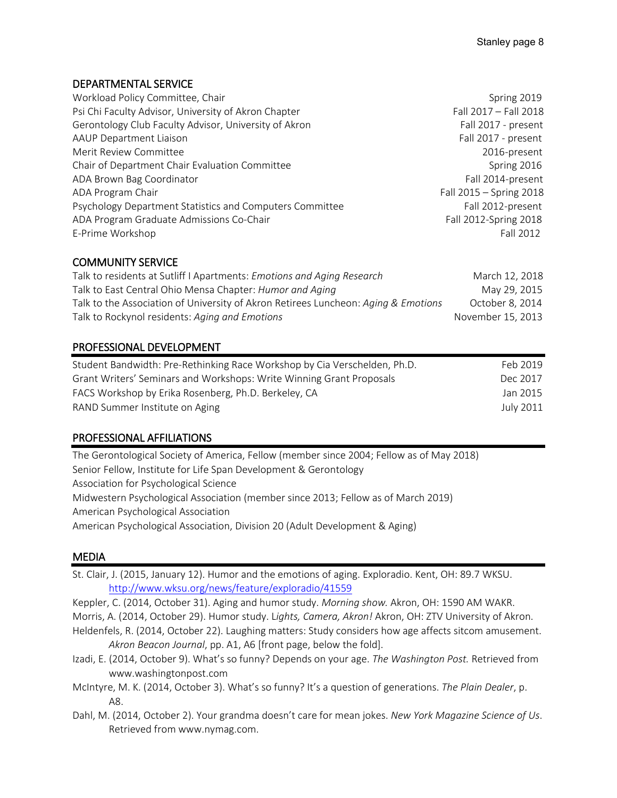#### DEPARTMENTAL SERVICE

| Workload Policy Committee, Chair                         | Spring 2019             |
|----------------------------------------------------------|-------------------------|
| Psi Chi Faculty Advisor, University of Akron Chapter     | Fall 2017 - Fall 2018   |
| Gerontology Club Faculty Advisor, University of Akron    | Fall 2017 - present     |
| <b>AAUP Department Liaison</b>                           | Fall 2017 - present     |
| Merit Review Committee                                   | 2016-present            |
| Chair of Department Chair Evaluation Committee           | Spring 2016             |
| ADA Brown Bag Coordinator                                | Fall 2014-present       |
| ADA Program Chair                                        | Fall 2015 - Spring 2018 |
| Psychology Department Statistics and Computers Committee | Fall 2012-present       |
| ADA Program Graduate Admissions Co-Chair                 | Fall 2012-Spring 2018   |
| E-Prime Workshop                                         | Fall 2012               |

# COMMUNITY SERVICE

| Talk to residents at Sutliff I Apartments: Emotions and Aging Research             | March 12, 2018    |
|------------------------------------------------------------------------------------|-------------------|
| Talk to East Central Ohio Mensa Chapter: Humor and Aging                           | May 29, 2015      |
| Talk to the Association of University of Akron Retirees Luncheon: Aging & Emotions | October 8. 2014   |
| Talk to Rockynol residents: Aging and Emotions                                     | November 15, 2013 |

# PROFESSIONAL DEVELOPMENT

| Student Bandwidth: Pre-Rethinking Race Workshop by Cia Verschelden, Ph.D. | Feb 2019  |
|---------------------------------------------------------------------------|-----------|
| Grant Writers' Seminars and Workshops: Write Winning Grant Proposals      | Dec 2017  |
| FACS Workshop by Erika Rosenberg, Ph.D. Berkeley, CA                      | Jan 2015  |
| RAND Summer Institute on Aging                                            | July 2011 |

# PROFESSIONAL AFFILIATIONS

The Gerontological Society of America, Fellow (member since 2004; Fellow as of May 2018) Senior Fellow, Institute for Life Span Development & Gerontology Association for Psychological Science Midwestern Psychological Association (member since 2013; Fellow as of March 2019) American Psychological Association American Psychological Association, Division 20 (Adult Development & Aging)

#### MEDIA

- St. Clair, J. (2015, January 12). Humor and the emotions of aging. Exploradio. Kent, OH: 89.7 WKSU. <http://www.wksu.org/news/feature/exploradio/41559>
- Keppler, C. (2014, October 31). Aging and humor study. *Morning show.* Akron, OH: 1590 AM WAKR.
- Morris, A. (2014, October 29). Humor study. L*ights, Camera, Akron!* Akron, OH: ZTV University of Akron.
- Heldenfels, R. (2014, October 22). Laughing matters: Study considers how age affects sitcom amusement. *Akron Beacon Journal*, pp. A1, A6 [front page, below the fold].
- Izadi, E. (2014, October 9). What's so funny? Depends on your age. *The Washington Post.* Retrieved from www.washingtonpost.com
- McIntyre, M. K. (2014, October 3). What's so funny? It's a question of generations. *The Plain Dealer*, p. A8.
- Dahl, M. (2014, October 2). Your grandma doesn't care for mean jokes. *New York Magazine Science of Us*. Retrieved from www.nymag.com.